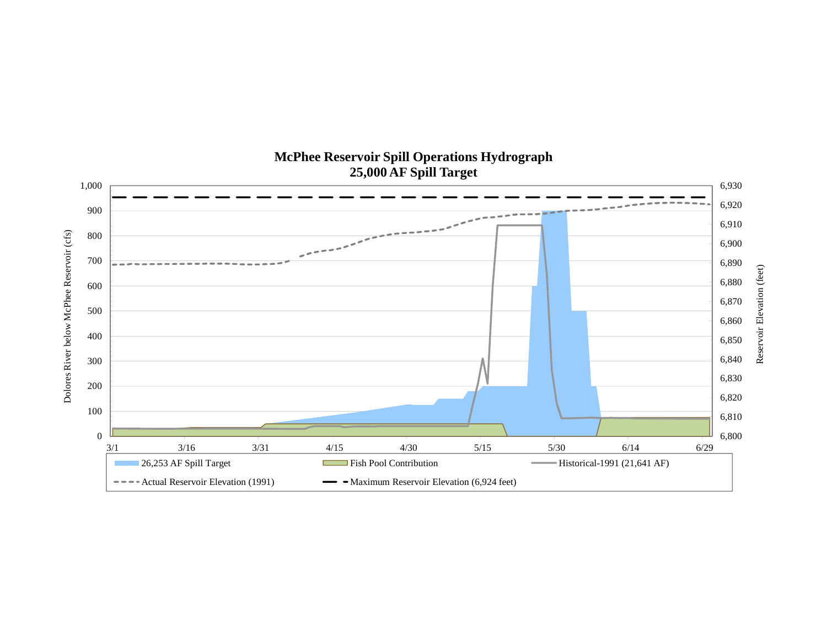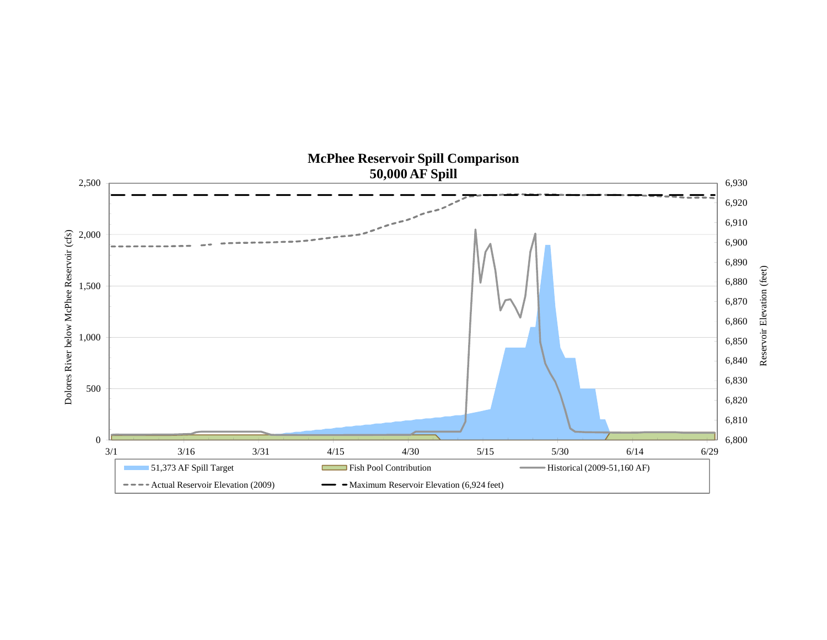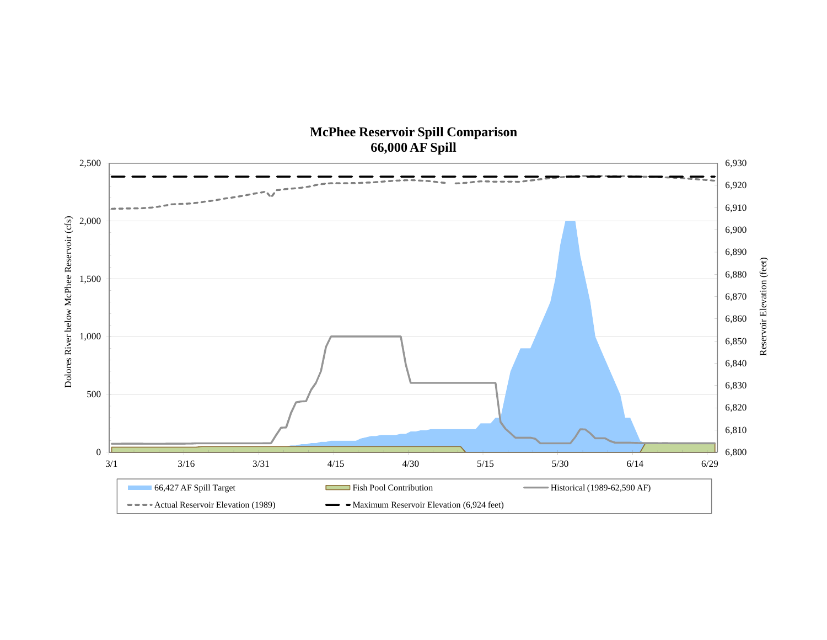## **McPhee Reservoir Spill Comparison 66,000 AF Spill**

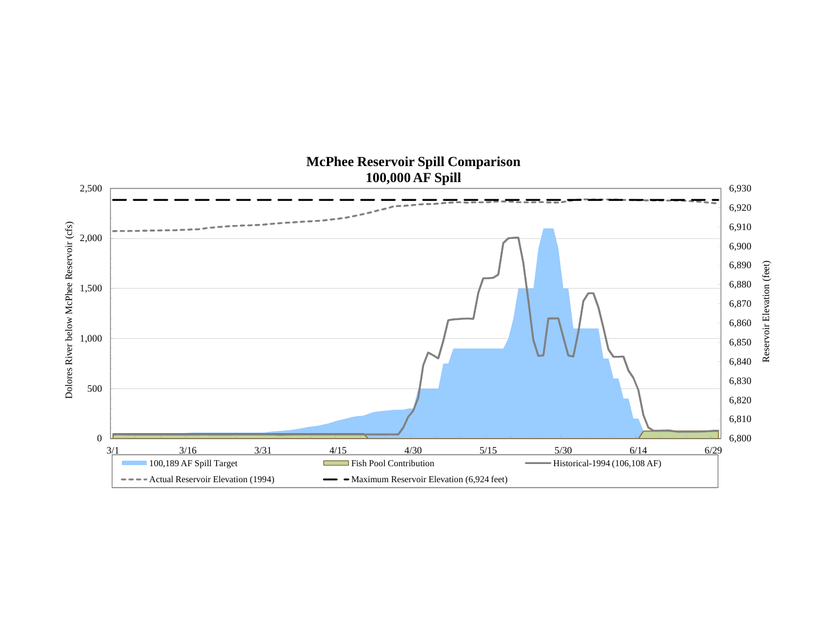